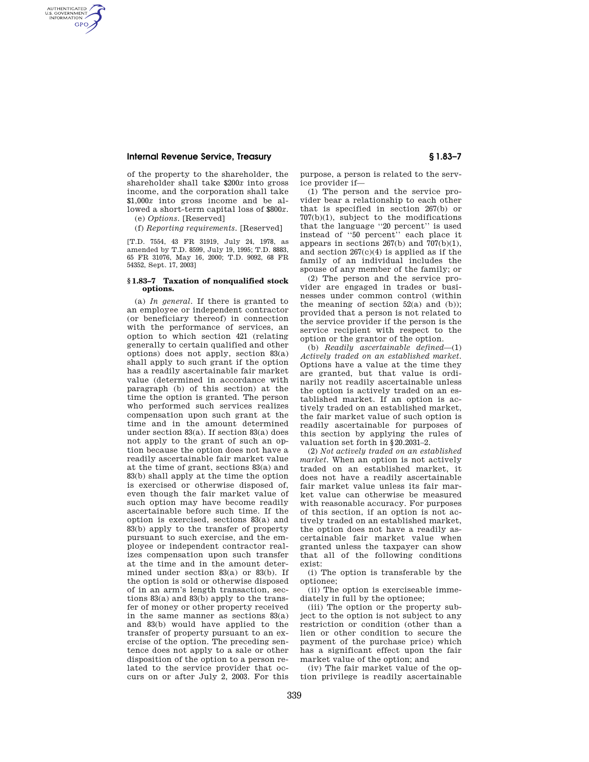## **Internal Revenue Service, Treasury § 1.83–7**

AUTHENTICATED<br>U.S. GOVERNMENT<br>INFORMATION **GPO** 

> of the property to the shareholder, the shareholder shall take \$200*x* into gross income, and the corporation shall take \$1,000*x* into gross income and be allowed a short-term capital loss of \$800*x.*

(e) *Options.* [Reserved]

(f) *Reporting requirements.* [Reserved]

[T.D. 7554, 43 FR 31919, July 24, 1978, as amended by T.D. 8599, July 19, 1995; T.D. 8883, 65 FR 31076, May 16, 2000; T.D. 9092, 68 FR 54352, Sept. 17, 2003]

## **§ 1.83–7 Taxation of nonqualified stock options.**

(a) *In general.* If there is granted to an employee or independent contractor (or beneficiary thereof) in connection with the performance of services, an option to which section 421 (relating generally to certain qualified and other options) does not apply, section 83(a) shall apply to such grant if the option has a readily ascertainable fair market value (determined in accordance with paragraph (b) of this section) at the time the option is granted. The person who performed such services realizes compensation upon such grant at the time and in the amount determined under section 83(a). If section 83(a) does not apply to the grant of such an option because the option does not have a readily ascertainable fair market value at the time of grant, sections 83(a) and 83(b) shall apply at the time the option is exercised or otherwise disposed of, even though the fair market value of such option may have become readily ascertainable before such time. If the option is exercised, sections 83(a) and 83(b) apply to the transfer of property pursuant to such exercise, and the employee or independent contractor realizes compensation upon such transfer at the time and in the amount determined under section 83(a) or 83(b). If the option is sold or otherwise disposed of in an arm's length transaction, sections 83(a) and 83(b) apply to the transfer of money or other property received in the same manner as sections 83(a) and 83(b) would have applied to the transfer of property pursuant to an exercise of the option. The preceding sentence does not apply to a sale or other disposition of the option to a person related to the service provider that occurs on or after July 2, 2003. For this

purpose, a person is related to the service provider if—

(1) The person and the service provider bear a relationship to each other that is specified in section 267(b) or 707(b)(1), subject to the modifications that the language ''20 percent'' is used instead of ''50 percent'' each place it appears in sections  $267(b)$  and  $707(b)(1)$ , and section 267(c)(4) is applied as if the family of an individual includes the spouse of any member of the family; or

(2) The person and the service provider are engaged in trades or businesses under common control (within the meaning of section  $52(a)$  and (b)); provided that a person is not related to the service provider if the person is the service recipient with respect to the option or the grantor of the option.

(b) *Readily ascertainable defined*—(1) *Actively traded on an established market.*  Options have a value at the time they are granted, but that value is ordinarily not readily ascertainable unless the option is actively traded on an established market. If an option is actively traded on an established market, the fair market value of such option is readily ascertainable for purposes of this section by applying the rules of valuation set forth in §20.2031–2.

(2) *Not actively traded on an established market.* When an option is not actively traded on an established market, it does not have a readily ascertainable fair market value unless its fair market value can otherwise be measured with reasonable accuracy. For purposes of this section, if an option is not actively traded on an established market, the option does not have a readily ascertainable fair market value when granted unless the taxpayer can show that all of the following conditions exist:

(i) The option is transferable by the optionee;

(ii) The option is exerciseable immediately in full by the optionee;

(iii) The option or the property subject to the option is not subject to any restriction or condition (other than a lien or other condition to secure the payment of the purchase price) which has a significant effect upon the fair market value of the option; and

(iv) The fair market value of the option privilege is readily ascertainable